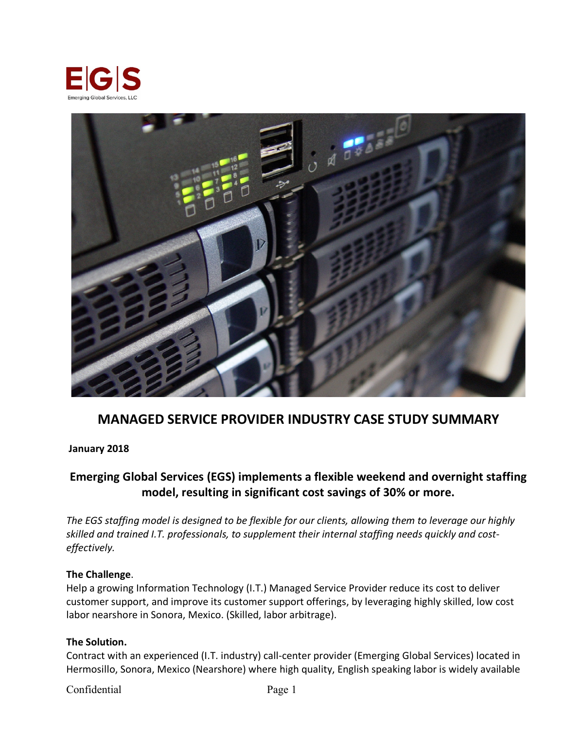



# **MANAGED SERVICE PROVIDER INDUSTRY CASE STUDY SUMMARY**

#### **January 2018**

## **Emerging Global Services (EGS) implements a flexible weekend and overnight staffing model, resulting in significant cost savings of 30% or more.**

*The EGS staffing model is designed to be flexible for our clients, allowing them to leverage our highly skilled and trained I.T. professionals, to supplement their internal staffing needs quickly and costeffectively.*

#### **The Challenge**.

Help a growing Information Technology (I.T.) Managed Service Provider reduce its cost to deliver customer support, and improve its customer support offerings, by leveraging highly skilled, low cost labor nearshore in Sonora, Mexico. (Skilled, labor arbitrage).

#### **The Solution.**

Contract with an experienced (I.T. industry) call-center provider (Emerging Global Services) located in Hermosillo, Sonora, Mexico (Nearshore) where high quality, English speaking labor is widely available

Confidential Page 1